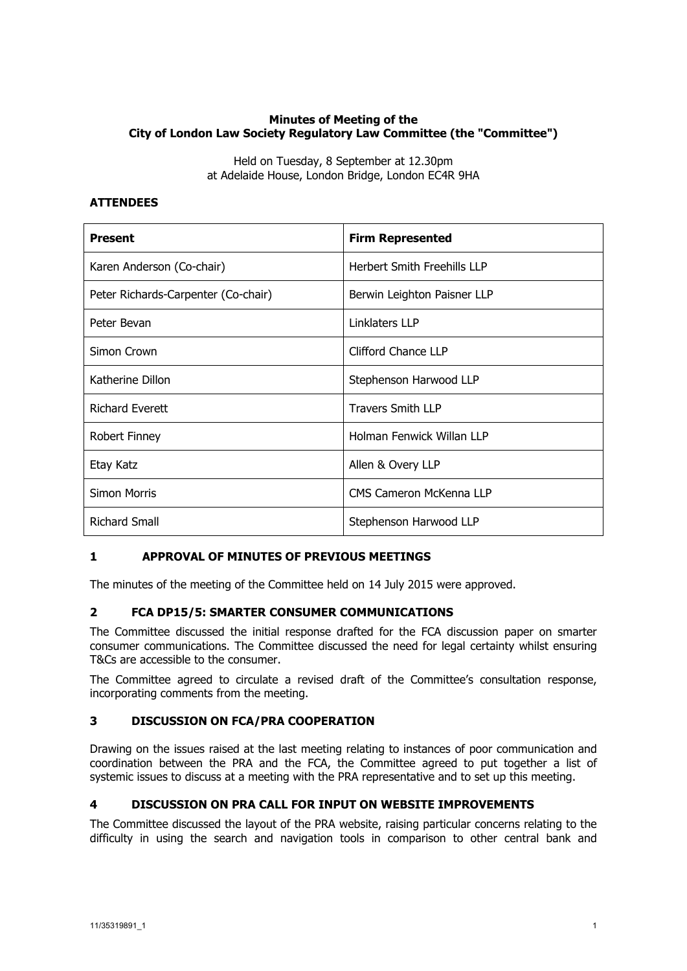## **Minutes of Meeting of the City of London Law Society Regulatory Law Committee (the "Committee")**

Held on Tuesday, 8 September at 12.30pm at Adelaide House, London Bridge, London EC4R 9HA

## **ATTENDEES**

| <b>Present</b>                      | <b>Firm Represented</b>        |
|-------------------------------------|--------------------------------|
| Karen Anderson (Co-chair)           | Herbert Smith Freehills LLP    |
| Peter Richards-Carpenter (Co-chair) | Berwin Leighton Paisner LLP    |
| Peter Bevan                         | Linklaters LLP                 |
| Simon Crown                         | <b>Clifford Chance LLP</b>     |
| Katherine Dillon                    | Stephenson Harwood LLP         |
| <b>Richard Everett</b>              | <b>Travers Smith LLP</b>       |
| Robert Finney                       | Holman Fenwick Willan LLP      |
| Etay Katz                           | Allen & Overy LLP              |
| <b>Simon Morris</b>                 | <b>CMS Cameron McKenna LLP</b> |
| <b>Richard Small</b>                | Stephenson Harwood LLP         |

# **1 APPROVAL OF MINUTES OF PREVIOUS MEETINGS**

The minutes of the meeting of the Committee held on 14 July 2015 were approved.

## **2 FCA DP15/5: SMARTER CONSUMER COMMUNICATIONS**

The Committee discussed the initial response drafted for the FCA discussion paper on smarter consumer communications. The Committee discussed the need for legal certainty whilst ensuring T&Cs are accessible to the consumer.

The Committee agreed to circulate a revised draft of the Committee's consultation response, incorporating comments from the meeting.

## **3 DISCUSSION ON FCA/PRA COOPERATION**

Drawing on the issues raised at the last meeting relating to instances of poor communication and coordination between the PRA and the FCA, the Committee agreed to put together a list of systemic issues to discuss at a meeting with the PRA representative and to set up this meeting.

# **4 DISCUSSION ON PRA CALL FOR INPUT ON WEBSITE IMPROVEMENTS**

The Committee discussed the layout of the PRA website, raising particular concerns relating to the difficulty in using the search and navigation tools in comparison to other central bank and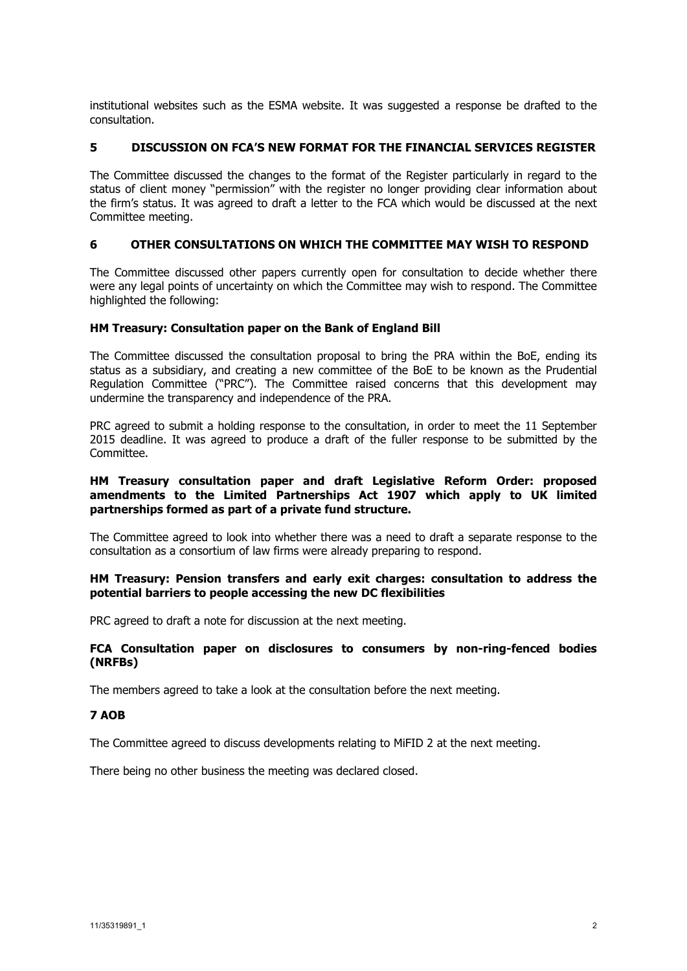institutional websites such as the ESMA website. It was suggested a response be drafted to the consultation.

## **5 DISCUSSION ON FCA'S NEW FORMAT FOR THE FINANCIAL SERVICES REGISTER**

The Committee discussed the changes to the format of the Register particularly in regard to the status of client money "permission" with the register no longer providing clear information about the firm's status. It was agreed to draft a letter to the FCA which would be discussed at the next Committee meeting.

#### **6 OTHER CONSULTATIONS ON WHICH THE COMMITTEE MAY WISH TO RESPOND**

The Committee discussed other papers currently open for consultation to decide whether there were any legal points of uncertainty on which the Committee may wish to respond. The Committee highlighted the following:

#### **HM Treasury: Consultation paper on the Bank of England Bill**

The Committee discussed the consultation proposal to bring the PRA within the BoE, ending its status as a subsidiary, and creating a new committee of the BoE to be known as the Prudential Regulation Committee ("PRC"). The Committee raised concerns that this development may undermine the transparency and independence of the PRA.

PRC agreed to submit a holding response to the consultation, in order to meet the 11 September 2015 deadline. It was agreed to produce a draft of the fuller response to be submitted by the Committee.

### **HM Treasury consultation paper and draft Legislative Reform Order: proposed amendments to the Limited Partnerships Act 1907 which apply to UK limited partnerships formed as part of a private fund structure.**

The Committee agreed to look into whether there was a need to draft a separate response to the consultation as a consortium of law firms were already preparing to respond.

#### **HM Treasury: Pension transfers and early exit charges: consultation to address the potential barriers to people accessing the new DC flexibilities**

PRC agreed to draft a note for discussion at the next meeting.

#### **FCA Consultation paper on disclosures to consumers by non-ring-fenced bodies (NRFBs)**

The members agreed to take a look at the consultation before the next meeting.

#### **7 AOB**

The Committee agreed to discuss developments relating to MiFID 2 at the next meeting.

There being no other business the meeting was declared closed.